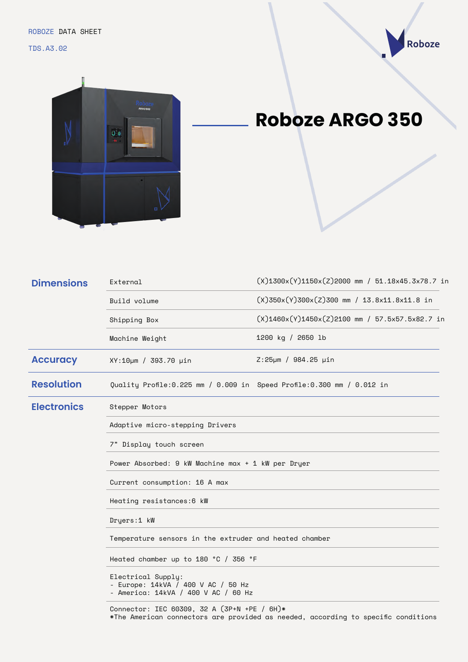TDS.A3.02





## **Roboze ARGO 350**

| <b>Dimensions</b>  | External                                                                                        | $(X)$ 1300x $(Y)$ 1150x $(Z)$ 2000 mm / 51.18x45.3x78.7 in |  |
|--------------------|-------------------------------------------------------------------------------------------------|------------------------------------------------------------|--|
|                    | Build volume                                                                                    | $(X)350x(Y)300x(Z)300$ mm / 13.8x11.8x11.8 in              |  |
|                    | Shipping Box                                                                                    | $(X)1460x(Y)1450x(Z)2100$ mm / 57.5x57.5x82.7 in           |  |
|                    | Machine Weight                                                                                  | 1200 kg / 2650 lb                                          |  |
| <b>Accuracy</b>    | XY:10µm / 393.70 µin                                                                            | $Z:25 \mu m / 984.25 \mu in$                               |  |
| <b>Resolution</b>  | Quality Profile:0.225 mm / 0.009 in Speed Profile:0.300 mm / 0.012 in                           |                                                            |  |
| <b>Electronics</b> | Stepper Motors                                                                                  |                                                            |  |
|                    | Adaptive micro-stepping Drivers                                                                 |                                                            |  |
|                    | 7" Display touch screen                                                                         |                                                            |  |
|                    | Power Absorbed: 9 kW Machine max + 1 kW per Dryer                                               |                                                            |  |
|                    | Current consumption: 16 A max                                                                   |                                                            |  |
|                    | Heating resistances:6 kW                                                                        |                                                            |  |
|                    | Dryers:1 kW                                                                                     |                                                            |  |
|                    | Temperature sensors in the extruder and heated chamber                                          |                                                            |  |
|                    | Heated chamber up to 180 °C / 356 °F                                                            |                                                            |  |
|                    | Electrical Supply:<br>- Europe: 14kVA / 400 V AC / 50 Hz<br>- America: 14kVA / 400 V AC / 60 Hz |                                                            |  |

Connector: IEC 60309, 32 A (3P+N +PE / 6H)\* \*The American connectors are provided as needed, according to specific conditions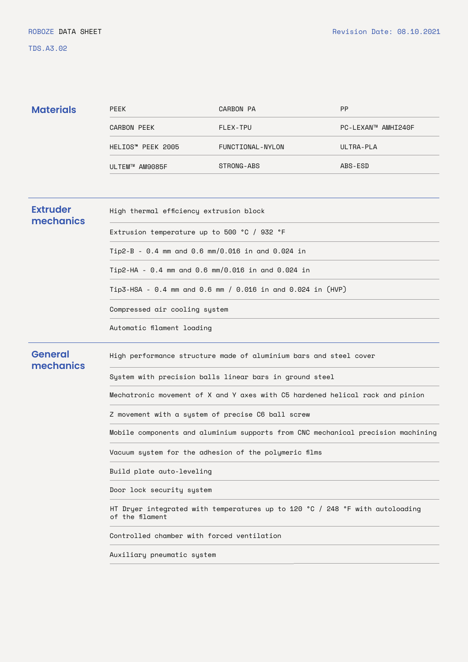## TDS.A3.02

| <b>Materials</b>             | <b>PEEK</b>                                                                                     | CARBON PA        | <b>PP</b>          |  |
|------------------------------|-------------------------------------------------------------------------------------------------|------------------|--------------------|--|
|                              | CARBON PEEK                                                                                     | FLEX-TPU         | PC-LEXAN™ AMHI240F |  |
|                              | HELIOS" PEEK 2005                                                                               | FUNCTIONAL-NYLON | ULTRA-PLA          |  |
|                              | ULTEM™ AM9085F                                                                                  | STRONG-ABS       | ABS-ESD            |  |
|                              |                                                                                                 |                  |                    |  |
| <b>Extruder</b><br>mechanics | High thermal efficiency extrusion block                                                         |                  |                    |  |
|                              | Extrusion temperature up to 500 °C / 932 °F                                                     |                  |                    |  |
|                              | Tip2-B - 0.4 mm and 0.6 mm/0.016 in and 0.024 in                                                |                  |                    |  |
|                              | Tip2-HA - 0.4 mm and 0.6 mm/0.016 in and 0.024 in                                               |                  |                    |  |
|                              | Tip3-HSA - 0.4 mm and 0.6 mm / 0.016 in and 0.024 in (HVP)                                      |                  |                    |  |
|                              | Compressed air cooling system                                                                   |                  |                    |  |
|                              | Automatic filament loading                                                                      |                  |                    |  |
| <b>General</b><br>mechanics  | High performance structure made of aluminium bars and steel cover                               |                  |                    |  |
|                              | System with precision balls linear bars in ground steel                                         |                  |                    |  |
|                              | Mechatronic movement of X and Y axes with C5 hardened helical rack and pinion                   |                  |                    |  |
|                              | Z movement with a system of precise C6 ball screw                                               |                  |                    |  |
|                              | Mobile components and aluminium supports from CNC mechanical precision machining                |                  |                    |  |
|                              | Vacuum system for the adhesion of the polymeric films                                           |                  |                    |  |
|                              | Build plate auto-leveling                                                                       |                  |                    |  |
|                              | Door lock security system                                                                       |                  |                    |  |
|                              | HT Dryer integrated with temperatures up to 120 °C / 248 °F with autoloading<br>of the filament |                  |                    |  |
|                              | Controlled chamber with forced ventilation                                                      |                  |                    |  |
|                              | Auxiliary pneumatic system                                                                      |                  |                    |  |
|                              |                                                                                                 |                  |                    |  |